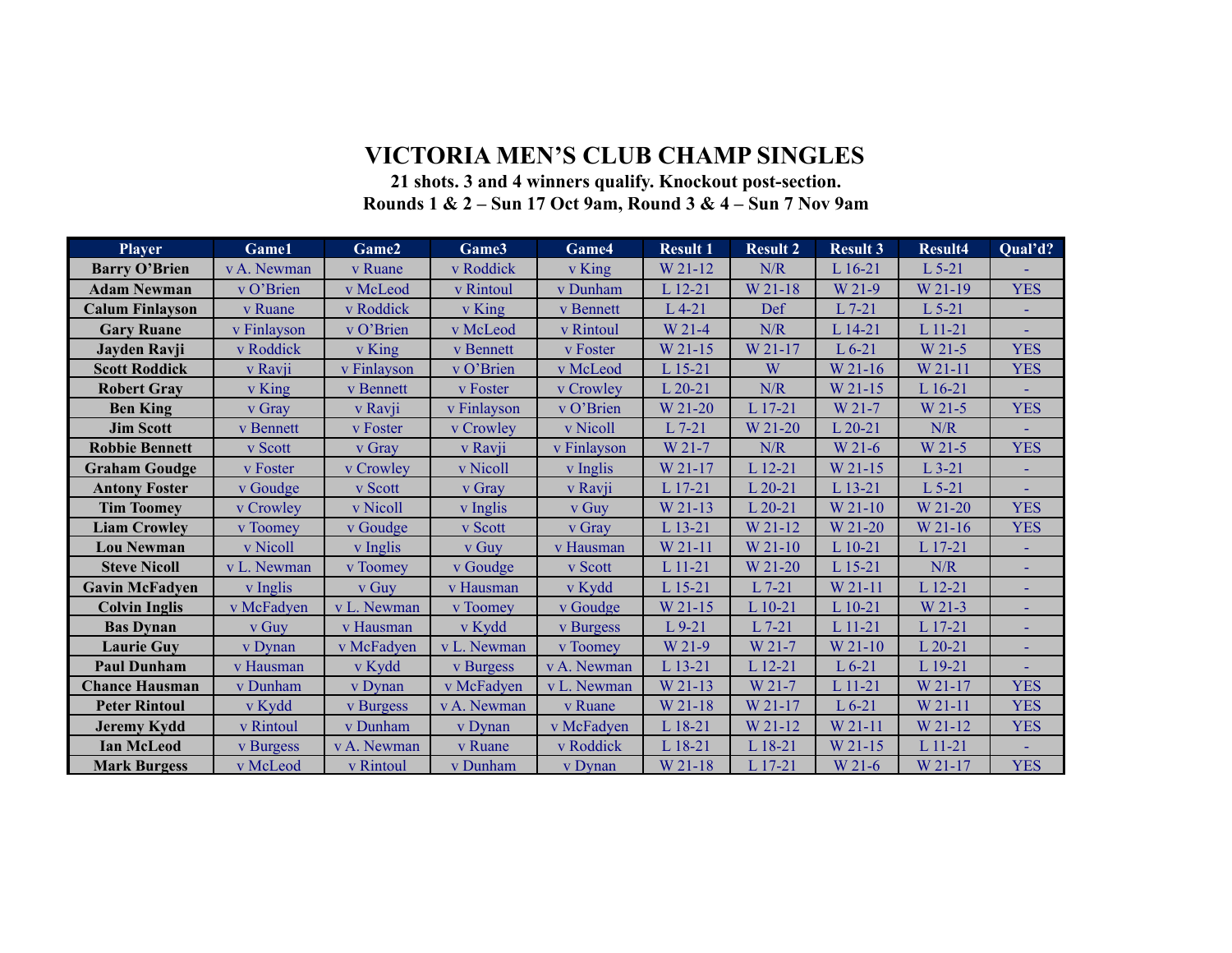## **VICTORIA MEN'S CLUB CHAMP SINGLES**

## **21 shots. 3 and 4 winners qualify. Knockout post-section. Rounds 1 & 2 – Sun 17 Oct 9am, Round 3 & 4 – Sun 7 Nov 9am**

| <b>Player</b>          | Game1       | Game2       | Game3       | Game4       | <b>Result 1</b> | <b>Result 2</b>                                             | <b>Result 3</b> | <b>Result4</b> | Qual'd?    |
|------------------------|-------------|-------------|-------------|-------------|-----------------|-------------------------------------------------------------|-----------------|----------------|------------|
| <b>Barry O'Brien</b>   | v A. Newman | v Ruane     | v Roddick   | v King      | W 21-12         | N/R                                                         | L 16-21         | $L$ 5-21       |            |
| <b>Adam Newman</b>     | v O'Brien   | v McLeod    | v Rintoul   | v Dunham    | $L$ 12-21       | W 21-18                                                     | W 21-9          | W 21-19        | <b>YES</b> |
| <b>Calum Finlayson</b> | v Ruane     | v Roddick   | v King      | v Bennett   | $L$ 4-21        | Def                                                         | $L$ 7-21        | $L$ 5-21       |            |
| <b>Gary Ruane</b>      | v Finlayson | v O'Brien   | v McLeod    | v Rintoul   | W 21-4          | N/R                                                         | L 14-21         | L 11-21        |            |
| Jayden Ravji           | v Roddick   | v King      | v Bennett   | v Foster    | W 21-15         | W 21-17                                                     | $L$ 6-21        | W 21-5         | <b>YES</b> |
| <b>Scott Roddick</b>   | v Ravji     | v Finlayson | v O'Brien   | v McLeod    | L 15-21         | W                                                           | W 21-16         | W 21-11        | <b>YES</b> |
| <b>Robert Gray</b>     | v King      | v Bennett   | v Foster    | v Crowley   | $L$ 20-21       | $\ensuremath{\text{N}}\xspace/\ensuremath{\text{R}}\xspace$ | W 21-15         | L 16-21        |            |
| <b>Ben King</b>        | v Gray      | v Ravji     | v Finlayson | v O'Brien   | W 21-20         | L 17-21                                                     | W 21-7          | W 21-5         | <b>YES</b> |
| <b>Jim Scott</b>       | v Bennett   | v Foster    | v Crowley   | v Nicoll    | $L$ 7-21        | W 21-20                                                     | $L$ 20-21       | N/R            |            |
| <b>Robbie Bennett</b>  | v Scott     | v Gray      | v Ravji     | v Finlayson | W 21-7          | N/R                                                         | W 21-6          | W 21-5         | <b>YES</b> |
| <b>Graham Goudge</b>   | v Foster    | v Crowley   | v Nicoll    | v Inglis    | W 21-17         | L 12-21                                                     | W 21-15         | $L$ 3-21       |            |
| <b>Antony Foster</b>   | v Goudge    | v Scott     | v Gray      | v Ravji     | L 17-21         | $L$ 20-21                                                   | L 13-21         | $L$ 5-21       |            |
| <b>Tim Toomey</b>      | v Crowley   | v Nicoll    | v Inglis    | v Guy       | W 21-13         | $L$ 20-21                                                   | W 21-10         | W 21-20        | <b>YES</b> |
| <b>Liam Crowley</b>    | v Toomey    | v Goudge    | v Scott     | v Gray      | L 13-21         | W 21-12                                                     | W 21-20         | W 21-16        | <b>YES</b> |
| <b>Lou Newman</b>      | v Nicoll    | v Inglis    | v Guy       | v Hausman   | W 21-11         | W 21-10                                                     | L 10-21         | L 17-21        |            |
| <b>Steve Nicoll</b>    | v L. Newman | v Toomey    | v Goudge    | v Scott     | L 11-21         | W 21-20                                                     | L 15-21         | N/R            |            |
| <b>Gavin McFadyen</b>  | v Inglis    | v Guy       | v Hausman   | v Kydd      | L 15-21         | $L$ 7-21                                                    | W 21-11         | L 12-21        |            |
| <b>Colvin Inglis</b>   | v McFadyen  | v L. Newman | v Toomey    | v Goudge    | W 21-15         | $L$ 10-21                                                   | $L$ 10-21       | W 21-3         | ÷.         |
| <b>Bas Dynan</b>       | v Guy       | v Hausman   | v Kydd      | v Burgess   | $L$ 9-21        | $L$ 7-21                                                    | L 11-21         | L 17-21        |            |
| <b>Laurie Guy</b>      | v Dynan     | v McFadyen  | v L. Newman | v Toomey    | W 21-9          | W 21-7                                                      | W 21-10         | $L$ 20-21      |            |
| <b>Paul Dunham</b>     | v Hausman   | v Kydd      | v Burgess   | v A. Newman | L 13-21         | L 12-21                                                     | $L 6-21$        | L 19-21        |            |
| <b>Chance Hausman</b>  | v Dunham    | v Dynan     | v McFadyen  | v L. Newman | W 21-13         | W 21-7                                                      | $L$ 11-21       | W 21-17        | <b>YES</b> |
| <b>Peter Rintoul</b>   | v Kydd      | v Burgess   | v A. Newman | v Ruane     | W 21-18         | W 21-17                                                     | $L 6-21$        | W 21-11        | <b>YES</b> |
| <b>Jeremy Kydd</b>     | v Rintoul   | v Dunham    | v Dynan     | v McFadyen  | L 18-21         | W 21-12                                                     | W 21-11         | W 21-12        | <b>YES</b> |
| <b>Ian McLeod</b>      | v Burgess   | v A. Newman | v Ruane     | v Roddick   | L 18-21         | L 18-21                                                     | W 21-15         | L 11-21        |            |
| <b>Mark Burgess</b>    | v McLeod    | v Rintoul   | v Dunham    | v Dynan     | W 21-18         | L 17-21                                                     | W 21-6          | W 21-17        | <b>YES</b> |